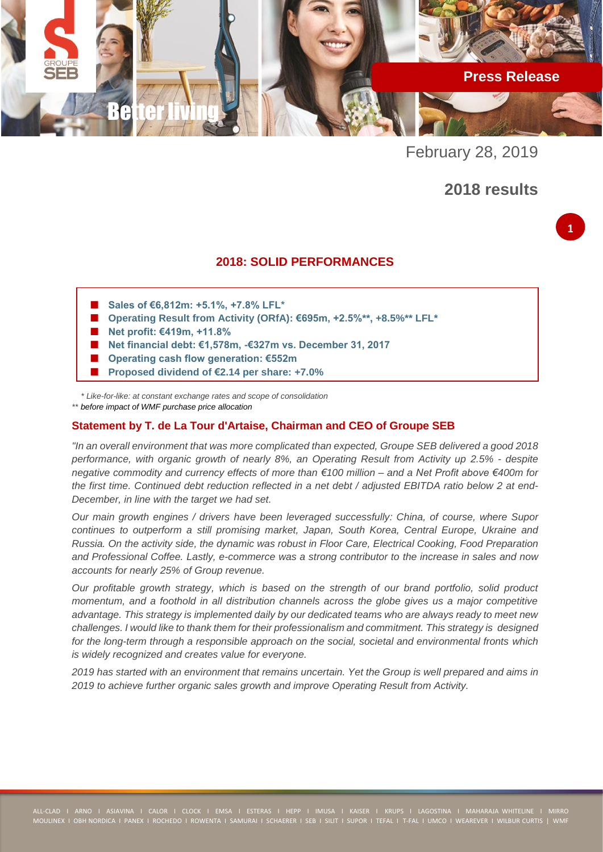

February 28, 2019

# **2018 results**

### **2018: SOLID PERFORMANCES**

- **Sales of €6,812m: +5.1%, +7.8% LFL\***
- **Operating Result from Activity (ORfA): €695m, +2.5%\*\*, +8.5%\*\* LFL\***
- **Net profit: €419m, +11.8%**
- **Net financial debt: €1,578m, -€327m vs. December 31, 2017**
- **Operating cash flow generation: €552m**
- **Proposed dividend of €2.14 per share: +7.0%**

 *\* Like-for-like: at constant exchange rates and scope of consolidation \*\* before impact of WMF purchase price allocation*

### **Statement by T. de La Tour d'Artaise, Chairman and CEO of Groupe SEB**

*"In an overall environment that was more complicated than expected, Groupe SEB delivered a good 2018 performance, with organic growth of nearly 8%, an Operating Result from Activity up 2.5% - despite negative commodity and currency effects of more than €100 million – and a Net Profit above €400m for the first time. Continued debt reduction reflected in a net debt / adjusted EBITDA ratio below 2 at end-December, in line with the target we had set.*

*Our main growth engines / drivers have been leveraged successfully: China, of course, where Supor continues to outperform a still promising market, Japan, South Korea, Central Europe, Ukraine and Russia. On the activity side, the dynamic was robust in Floor Care, Electrical Cooking, Food Preparation and Professional Coffee. Lastly, e-commerce was a strong contributor to the increase in sales and now accounts for nearly 25% of Group revenue.*

*Our profitable growth strategy, which is based on the strength of our brand portfolio, solid product momentum, and a foothold in all distribution channels across the globe gives us a major competitive advantage. This strategy is implemented daily by our dedicated teams who are always ready to meet new challenges. I would like to thank them for their professionalism and commitment. This strategy is designed for the long-term through a responsible approach on the social, societal and environmental fronts which is widely recognized and creates value for everyone.*

*2019 has started with an environment that remains uncertain. Yet the Group is well prepared and aims in 2019 to achieve further organic sales growth and improve Operating Result from Activity.*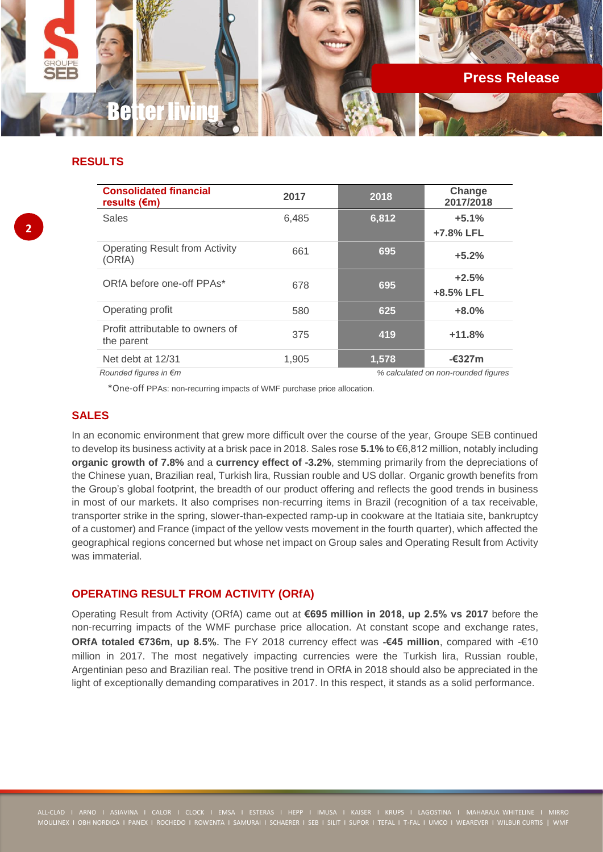

## **RESULTS**

| <b>Consolidated financial</b><br>results $(\epsilon m)$ | 2017  | 2018  | Change<br>2017/2018                 |
|---------------------------------------------------------|-------|-------|-------------------------------------|
| <b>Sales</b>                                            | 6,485 | 6,812 | $+5.1%$<br>+7.8% LFL                |
| <b>Operating Result from Activity</b><br>(ORfA)         | 661   | 695   | $+5.2%$                             |
| ORfA before one-off PPAs*                               | 678   | 695   | $+2.5%$<br>+8.5% LFL                |
| Operating profit                                        | 580   | 625   | $+8.0%$                             |
| Profit attributable to owners of<br>the parent          | 375   | 419   | $+11.8%$                            |
| Net debt at 12/31                                       | 1,905 | 1,578 | $-\epsilon$ 327m                    |
| Rounded figures in $\epsilon$ m                         |       |       | % calculated on non-rounded figures |

\*One-off PPAs: non-recurring impacts of WMF purchase price allocation.

## **SALES**

In an economic environment that grew more difficult over the course of the year, Groupe SEB continued to develop its business activity at a brisk pace in 2018. Sales rose **5.1%** to €6,812 million, notably including **organic growth of 7.8%** and a **currency effect of -3.2%**, stemming primarily from the depreciations of the Chinese yuan, Brazilian real, Turkish lira, Russian rouble and US dollar. Organic growth benefits from the Group's global footprint, the breadth of our product offering and reflects the good trends in business in most of our markets. It also comprises non-recurring items in Brazil (recognition of a tax receivable, transporter strike in the spring, slower-than-expected ramp-up in cookware at the Itatiaia site, bankruptcy of a customer) and France (impact of the yellow vests movement in the fourth quarter), which affected the geographical regions concerned but whose net impact on Group sales and Operating Result from Activity was immaterial.

### **OPERATING RESULT FROM ACTIVITY (ORfA)**

Operating Result from Activity (ORfA) came out at **€695 million in 2018, up 2.5% vs 2017** before the non-recurring impacts of the WMF purchase price allocation. At constant scope and exchange rates, **ORfA totaled €736m, up 8.5%**. The FY 2018 currency effect was **-€45 million**, compared with -€10 million in 2017. The most negatively impacting currencies were the Turkish lira, Russian rouble, Argentinian peso and Brazilian real. The positive trend in ORfA in 2018 should also be appreciated in the light of exceptionally demanding comparatives in 2017. In this respect, it stands as a solid performance.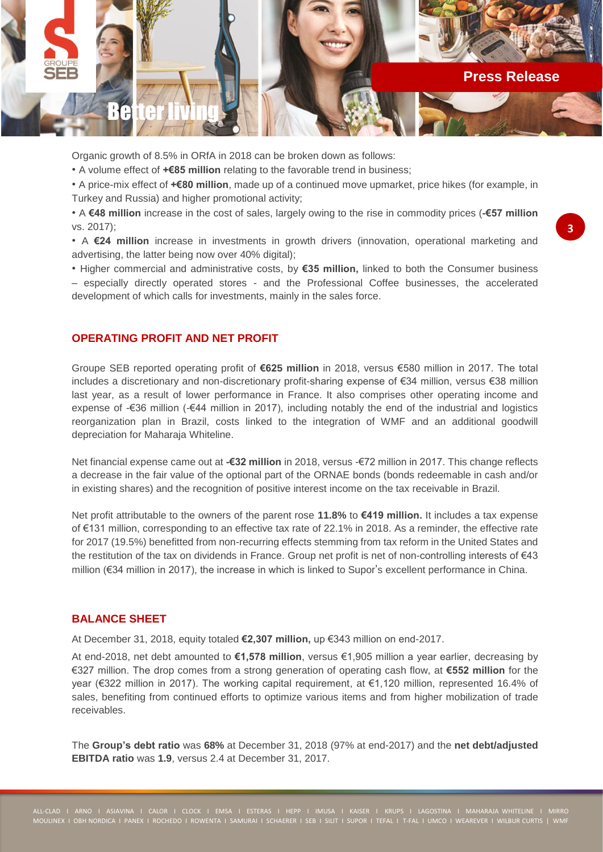

Organic growth of 8.5% in ORfA in 2018 can be broken down as follows:

• A volume effect of **+€85 million** relating to the favorable trend in business;

• A price-mix effect of **+€80 million**, made up of a continued move upmarket, price hikes (for example, in Turkey and Russia) and higher promotional activity;

• A **€48 million** increase in the cost of sales, largely owing to the rise in commodity prices (**-€57 million** vs. 2017);

• A **€24 million** increase in investments in growth drivers (innovation, operational marketing and advertising, the latter being now over 40% digital);

• Higher commercial and administrative costs, by **€35 million,** linked to both the Consumer business – especially directly operated stores - and the Professional Coffee businesses, the accelerated development of which calls for investments, mainly in the sales force.

### **OPERATING PROFIT AND NET PROFIT**

Groupe SEB reported operating profit of **€625 million** in 2018, versus €580 million in 2017. The total includes a discretionary and non-discretionary profit-sharing expense of €34 million, versus €38 million last year, as a result of lower performance in France. It also comprises other operating income and expense of -€36 million (-€44 million in 2017), including notably the end of the industrial and logistics reorganization plan in Brazil, costs linked to the integration of WMF and an additional goodwill depreciation for Maharaja Whiteline.

Net financial expense came out at **-€32 million** in 2018, versus -€72 million in 2017. This change reflects a decrease in the fair value of the optional part of the ORNAE bonds (bonds redeemable in cash and/or in existing shares) and the recognition of positive interest income on the tax receivable in Brazil.

Net profit attributable to the owners of the parent rose **11.8%** to **€419 million.** It includes a tax expense of €131 million, corresponding to an effective tax rate of 22.1% in 2018. As a reminder, the effective rate for 2017 (19.5%) benefitted from non-recurring effects stemming from tax reform in the United States and the restitution of the tax on dividends in France. Group net profit is net of non-controlling interests of €43 million (€34 million in 2017), the increase in which is linked to Supor's excellent performance in China.

### **BALANCE SHEET**

At December 31, 2018, equity totaled **€2,307 million,** up €343 million on end-2017.

At end-2018, net debt amounted to **€1,578 million**, versus €1,905 million a year earlier, decreasing by €327 million. The drop comes from a strong generation of operating cash flow, at **€552 million** for the year (€322 million in 2017). The working capital requirement, at €1,120 million, represented 16.4% of sales, benefiting from continued efforts to optimize various items and from higher mobilization of trade receivables.

The **Group's debt ratio** was **68%** at December 31, 2018 (97% at end-2017) and the **net debt/adjusted EBITDA ratio** was **1.9**, versus 2.4 at December 31, 2017.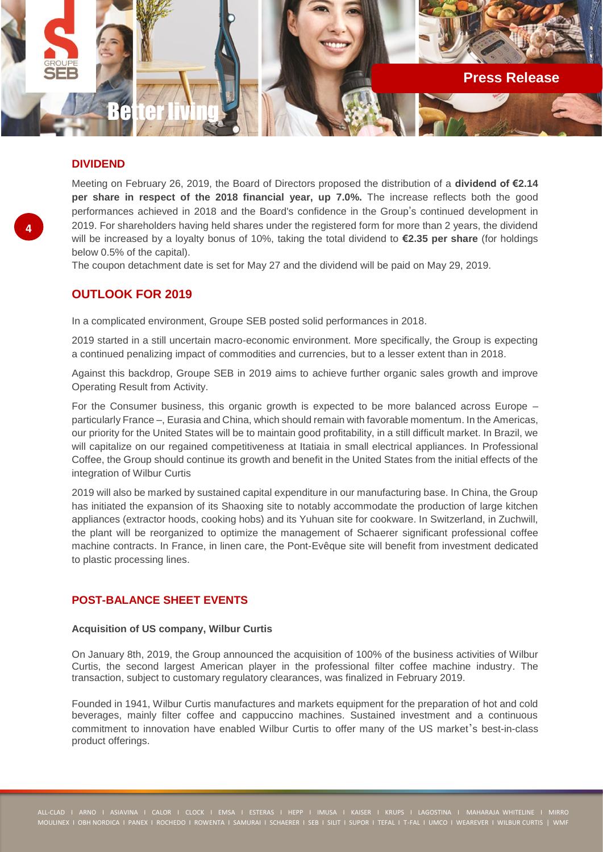

### **DIVIDEND**

Meeting on February 26, 2019, the Board of Directors proposed the distribution of a **dividend of €2.14 per share in respect of the 2018 financial year, up 7.0%.** The increase reflects both the good performances achieved in 2018 and the Board's confidence in the Group's continued development in 2019. For shareholders having held shares under the registered form for more than 2 years, the dividend will be increased by a loyalty bonus of 10%, taking the total dividend to **€2.35 per share** (for holdings below 0.5% of the capital).

The coupon detachment date is set for May 27 and the dividend will be paid on May 29, 2019.

### **OUTLOOK FOR 2019**

In a complicated environment, Groupe SEB posted solid performances in 2018.

2019 started in a still uncertain macro-economic environment. More specifically, the Group is expecting a continued penalizing impact of commodities and currencies, but to a lesser extent than in 2018.

Against this backdrop, Groupe SEB in 2019 aims to achieve further organic sales growth and improve Operating Result from Activity.

For the Consumer business, this organic growth is expected to be more balanced across Europe – particularly France –, Eurasia and China, which should remain with favorable momentum. In the Americas, our priority for the United States will be to maintain good profitability, in a still difficult market. In Brazil, we will capitalize on our regained competitiveness at Itatiaia in small electrical appliances. In Professional Coffee, the Group should continue its growth and benefit in the United States from the initial effects of the integration of Wilbur Curtis

2019 will also be marked by sustained capital expenditure in our manufacturing base. In China, the Group has initiated the expansion of its Shaoxing site to notably accommodate the production of large kitchen appliances (extractor hoods, cooking hobs) and its Yuhuan site for cookware. In Switzerland, in Zuchwill, the plant will be reorganized to optimize the management of Schaerer significant professional coffee machine contracts. In France, in linen care, the Pont-Evêque site will benefit from investment dedicated to plastic processing lines.

#### **POST-BALANCE SHEET EVENTS**

#### **Acquisition of US company, Wilbur Curtis**

On January 8th, 2019, the Group announced the acquisition of 100% of the business activities of Wilbur Curtis, the second largest American player in the professional filter coffee machine industry. The transaction, subject to customary regulatory clearances, was finalized in February 2019.

Founded in 1941, Wilbur Curtis manufactures and markets equipment for the preparation of hot and cold beverages, mainly filter coffee and cappuccino machines. Sustained investment and a continuous commitment to innovation have enabled Wilbur Curtis to offer many of the US market's best-in-class product offerings.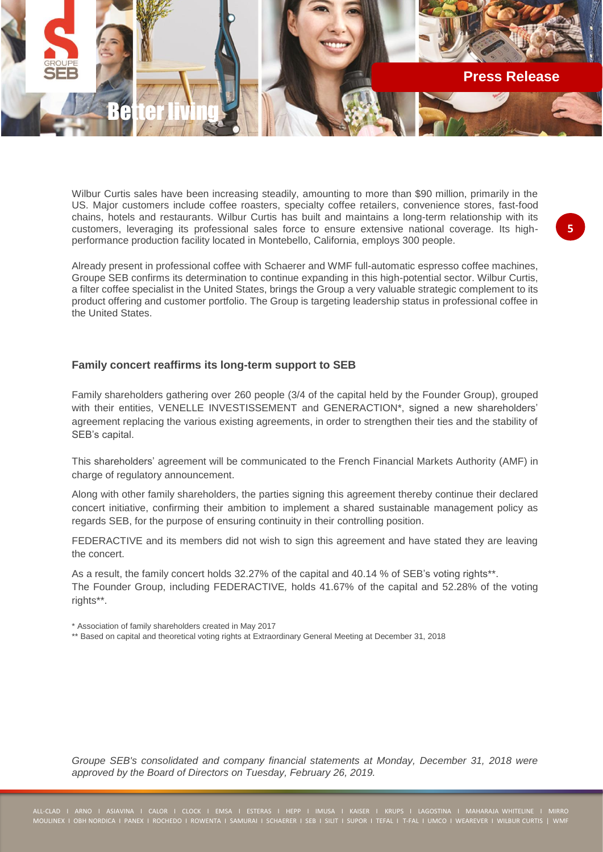

Wilbur Curtis sales have been increasing steadily, amounting to more than \$90 million, primarily in the US. Major customers include coffee roasters, specialty coffee retailers, convenience stores, fast-food chains, hotels and restaurants. Wilbur Curtis has built and maintains a long-term relationship with its customers, leveraging its professional sales force to ensure extensive national coverage. Its highperformance production facility located in Montebello, California, employs 300 people.

Already present in professional coffee with Schaerer and WMF full-automatic espresso coffee machines, Groupe SEB confirms its determination to continue expanding in this high-potential sector. Wilbur Curtis, a filter coffee specialist in the United States, brings the Group a very valuable strategic complement to its product offering and customer portfolio. The Group is targeting leadership status in professional coffee in the United States.

### **Family concert reaffirms its long-term support to SEB**

Family shareholders gathering over 260 people (3/4 of the capital held by the Founder Group), grouped with their entities, VENELLE INVESTISSEMENT and GENERACTION\*, signed a new shareholders' agreement replacing the various existing agreements, in order to strengthen their ties and the stability of SEB's capital.

This shareholders' agreement will be communicated to the French Financial Markets Authority (AMF) in charge of regulatory announcement.

Along with other family shareholders, the parties signing this agreement thereby continue their declared concert initiative, confirming their ambition to implement a shared sustainable management policy as regards SEB, for the purpose of ensuring continuity in their controlling position.

FEDERACTIVE and its members did not wish to sign this agreement and have stated they are leaving the concert.

As a result, the family concert holds 32.27% of the capital and 40.14 % of SEB's voting rights\*\*. The Founder Group, including FEDERACTIVE*,* holds 41.67% of the capital and 52.28% of the voting rights\*\*.

\* Association of family shareholders created in May 2017

\*\* Based on capital and theoretical voting rights at Extraordinary General Meeting at December 31, 2018

*Groupe SEB's consolidated and company financial statements at Monday, December 31, 2018 were approved by the Board of Directors on Tuesday, February 26, 2019.*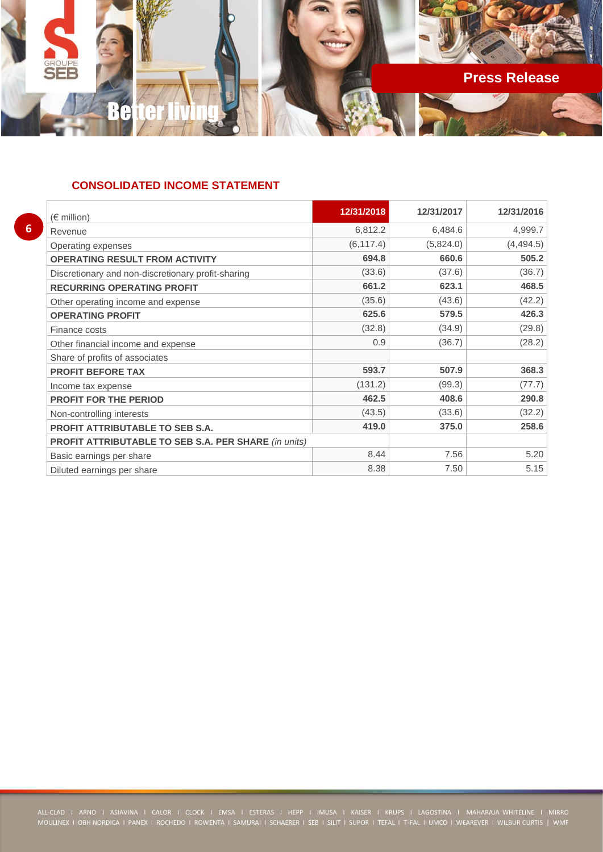

## **CONSOLIDATED INCOME STATEMENT**

| 12/31/2018 | 12/31/2017 | 12/31/2016 |
|------------|------------|------------|
| 6,812.2    | 6,484.6    | 4,999.7    |
| (6, 117.4) | (5,824.0)  | (4, 494.5) |
| 694.8      | 660.6      | 505.2      |
| (33.6)     | (37.6)     | (36.7)     |
| 661.2      | 623.1      | 468.5      |
| (35.6)     | (43.6)     | (42.2)     |
| 625.6      | 579.5      | 426.3      |
| (32.8)     | (34.9)     | (29.8)     |
| 0.9        | (36.7)     | (28.2)     |
|            |            |            |
| 593.7      | 507.9      | 368.3      |
| (131.2)    | (99.3)     | (77.7)     |
| 462.5      | 408.6      | 290.8      |
| (43.5)     | (33.6)     | (32.2)     |
| 419.0      | 375.0      | 258.6      |
|            |            |            |
| 8.44       | 7.56       | 5.20       |
| 8.38       | 7.50       | 5.15       |
|            |            |            |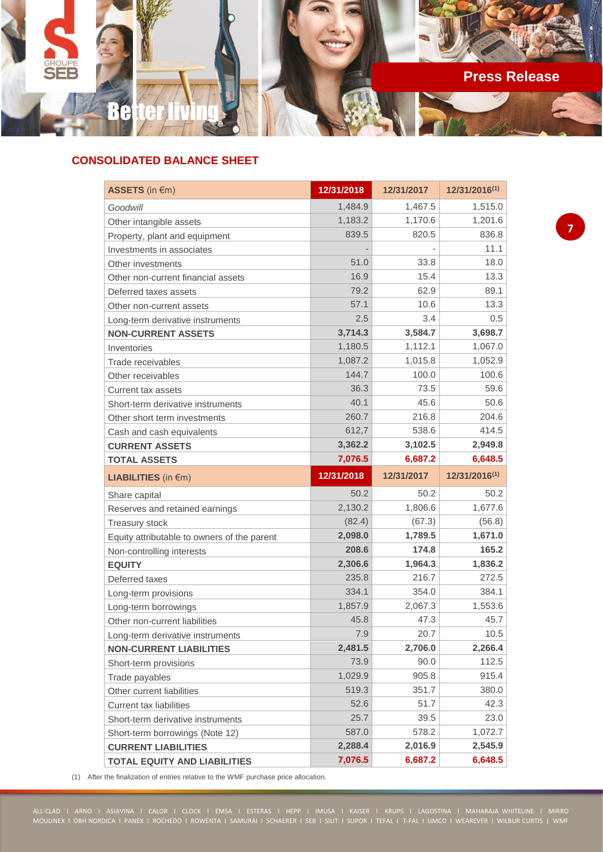

## **CONSOLIDATED BALANCE SHEET**

| ASSETS (in €m)                              | 12/31/2018 | 12/31/2017 | 12/31/2016(1)                                          |
|---------------------------------------------|------------|------------|--------------------------------------------------------|
| Goodwill                                    | 1,484.9    | 1,467.5    | 1,515.0                                                |
| Other intangible assets                     | 1,183.2    | 1,170.6    | 1,201.6                                                |
| Property, plant and equipment               | 839.5      | 820.5      | 836.8                                                  |
| Investments in associates                   |            |            | 11.1                                                   |
| Other investments                           | 51.0       | 33.8       | 18.0                                                   |
| Other non-current financial assets          | 16.9       | 15.4       | 13.3                                                   |
| Deferred taxes assets                       | 79.2       | 62.9       | 89.1                                                   |
| Other non-current assets                    | 57.1       | 10.6       | 13.3                                                   |
| Long-term derivative instruments            | 2.5        | 3.4        | 0.5                                                    |
| <b>NON-CURRENT ASSETS</b>                   | 3,714.3    | 3,584.7    | 3,698.7                                                |
| Inventories                                 | 1,180.5    | 1,112.1    | 1,067.0                                                |
| Trade receivables                           | 1,087.2    | 1,015.8    | 1,052.9                                                |
| Other receivables                           | 144.7      | 100.0      | 100.6                                                  |
| <b>Current tax assets</b>                   | 36.3       | 73.5       | 59.6                                                   |
| Short-term derivative instruments           | 40.1       | 45.6       | 50.6                                                   |
| Other short term investments                | 260.7      | 216.8      | 204.6                                                  |
| Cash and cash equivalents                   | 612,7      | 538.6      | 414.5                                                  |
| <b>CURRENT ASSETS</b>                       | 3,362.2    | 3,102.5    | 2,949.8                                                |
| <b>TOTAL ASSETS</b>                         | 7,076.5    | 6,687.2    | 6,648.5                                                |
| <b>LIABILITIES</b> (in $\notin$ m)          | 12/31/2018 | 12/31/2017 | 12/31/2016(1)                                          |
| Share capital                               | 50.2       | 50.2       | 50.2                                                   |
| Reserves and retained earnings              | 2,130.2    | 1,806.6    | 1,677.6                                                |
| <b>Treasury stock</b>                       | (82.4)     | (67.3)     | (56.8)                                                 |
| Equity attributable to owners of the parent | 2,098.0    | 1,789.5    | 1,671.0                                                |
| Non-controlling interests                   | 208.6      | 174.8      | 165.2                                                  |
| <b>EQUITY</b>                               | 2,306.6    | 1,964.3    | 1,836.2                                                |
| Deferred taxes                              |            |            |                                                        |
| Long-term provisions                        | 235.8      | 216.7      | 272.5                                                  |
|                                             | 334.1      | 354.0      | 384.1                                                  |
| Long-term borrowings                        | 1,857.9    | 2,067.3    |                                                        |
| Other non-current liabilities               | 45.8       | 47.3       |                                                        |
| Long-term derivative instruments            | 7.9        | 20.7       |                                                        |
| <b>NON-CURRENT LIABILITIES</b>              | 2,481.5    | 2,706.0    |                                                        |
| Short-term provisions                       | 73.9       | 90.0       | 112.5                                                  |
| Trade payables                              | 1,029.9    | 905.8      |                                                        |
| Other current liabilities                   | 519.3      | 351.7      | 380.0                                                  |
| <b>Current tax liabilities</b>              | 52.6       | 51.7       | 42.3                                                   |
| Short-term derivative instruments           | 25.7       | 39.5       | 23.0                                                   |
| Short-term borrowings (Note 12)             | 587.0      | 578.2      | 1,072.7                                                |
| <b>CURRENT LIABILITIES</b>                  | 2,288.4    | 2,016.9    | 1,553.6<br>45.7<br>10.5<br>2,266.4<br>915.4<br>2,545.9 |

(1) After the finalization of entries relative to the WMF purchase price allocation.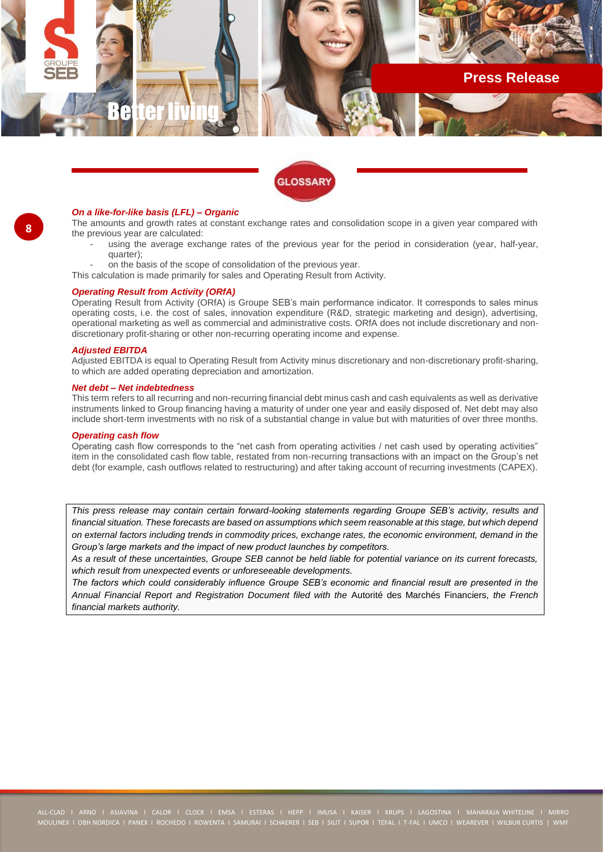



#### *On a like-for-like basis (LFL) – Organic*

The amounts and growth rates at constant exchange rates and consolidation scope in a given year compared with the previous year are calculated:

- using the average exchange rates of the previous year for the period in consideration (year, half-year, quarter);
- on the basis of the scope of consolidation of the previous year.
- This calculation is made primarily for sales and Operating Result from Activity.

#### *Operating Result from Activity (ORfA)*

Operating Result from Activity (ORfA) is Groupe SEB's main performance indicator. It corresponds to sales minus operating costs, i.e. the cost of sales, innovation expenditure (R&D, strategic marketing and design), advertising, operational marketing as well as commercial and administrative costs. ORfA does not include discretionary and nondiscretionary profit-sharing or other non-recurring operating income and expense.

#### *Adjusted EBITDA*

Adjusted EBITDA is equal to Operating Result from Activity minus discretionary and non-discretionary profit-sharing, to which are added operating depreciation and amortization.

#### *Net debt – Net indebtedness*

This term refers to all recurring and non-recurring financial debt minus cash and cash equivalents as well as derivative instruments linked to Group financing having a maturity of under one year and easily disposed of. Net debt may also include short-term investments with no risk of a substantial change in value but with maturities of over three months.

#### *Operating cash flow*

Operating cash flow corresponds to the "net cash from operating activities / net cash used by operating activities" item in the consolidated cash flow table, restated from non-recurring transactions with an impact on the Group's net debt (for example, cash outflows related to restructuring) and after taking account of recurring investments (CAPEX).

*This press release may contain certain forward-looking statements regarding Groupe SEB's activity, results and financial situation. These forecasts are based on assumptions which seem reasonable at this stage, but which depend on external factors including trends in commodity prices, exchange rates, the economic environment, demand in the Group's large markets and the impact of new product launches by competitors.*

*As a result of these uncertainties, Groupe SEB cannot be held liable for potential variance on its current forecasts, which result from unexpected events or unforeseeable developments.*

*The factors which could considerably influence Groupe SEB's economic and financial result are presented in the Annual Financial Report and Registration Document filed with the* Autorité des Marchés Financiers*, the French financial markets authority.*